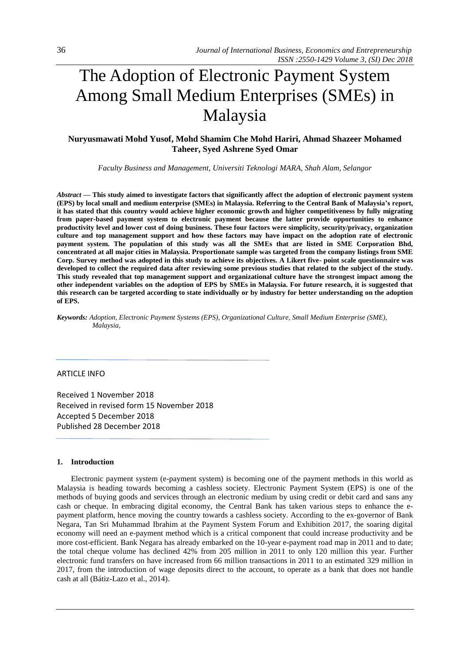# The Adoption of Electronic Payment System Among Small Medium Enterprises (SMEs) in Malaysia

# **Nuryusmawati Mohd Yusof, Mohd Shamim Che Mohd Hariri, Ahmad Shazeer Mohamed Taheer, Syed Ashrene Syed Omar**

*Faculty Business and Management, Universiti Teknologi MARA, Shah Alam, Selangor*

*Abstract —* **This study aimed to investigate factors that significantly affect the adoption of electronic payment system (EPS) by local small and medium enterprise (SMEs) in Malaysia. Referring to the Central Bank of Malaysia's report, it has stated that this country would achieve higher economic growth and higher competitiveness by fully migrating from paper-based payment system to electronic payment because the latter provide opportunities to enhance productivity level and lower cost of doing business. These four factors were simplicity, security/privacy, organization culture and top management support and how these factors may have impact on the adoption rate of electronic payment system. The population of this study was all the SMEs that are listed in SME Corporation Bhd, concentrated at all major cities in Malaysia. Proportionate sample was targeted from the company listings from SME Corp. Survey method was adopted in this study to achieve its objectives. A Likert five- point scale questionnaire was developed to collect the required data after reviewing some previous studies that related to the subject of the study. This study revealed that top management support and organizational culture have the strongest impact among the other independent variables on the adoption of EPS by SMEs in Malaysia. For future research, it is suggested that this research can be targeted according to state individually or by industry for better understanding on the adoption of EPS.**

*Keywords: Adoption, Electronic Payment Systems (EPS), Organizational Culture, Small Medium Enterprise (SME), Malaysia,* 

## ARTICLE INFO

Received 1 November 2018 Received in revised form 15 November 2018 Accepted 5 December 2018 Published 28 December 2018

## **1. Introduction**

Electronic payment system (e-payment system) is becoming one of the payment methods in this world as Malaysia is heading towards becoming a cashless society. Electronic Payment System (EPS) is one of the methods of buying goods and services through an electronic medium by using credit or debit card and sans any cash or cheque. In embracing digital economy, the Central Bank has taken various steps to enhance the epayment platform, hence moving the country towards a cashless society. According to the ex-governor of Bank Negara, Tan Sri Muhammad Ibrahim at the Payment System Forum and Exhibition 2017, the soaring digital economy will need an e-payment method which is a critical component that could increase productivity and be more cost-efficient. Bank Negara has already embarked on the 10-year e-payment road map in 2011 and to date; the total cheque volume has declined 42% from 205 million in 2011 to only 120 million this year. Further electronic fund transfers on have increased from 66 million transactions in 2011 to an estimated 329 million in 2017, from the introduction of wage deposits direct to the account, to operate as a bank that does not handle cash at all (Bátiz-Lazo et al., 2014).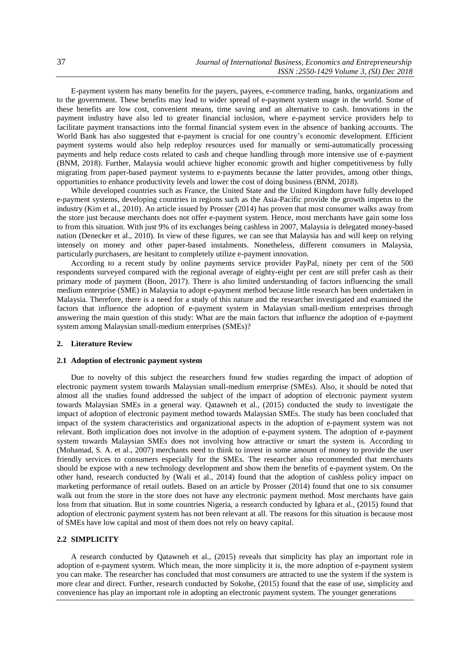E-payment system has many benefits for the payers, payees, e-commerce trading, banks, organizations and to the government. These benefits may lead to wider spread of e-payment system usage in the world. Some of these benefits are low cost, convenient means, time saving and an alternative to cash. Innovations in the payment industry have also led to greater financial inclusion, where e-payment service providers help to facilitate payment transactions into the formal financial system even in the absence of banking accounts. The World Bank has also suggested that e-payment is crucial for one country's economic development. Efficient payment systems would also help redeploy resources used for manually or semi-automatically processing payments and help reduce costs related to cash and cheque handling through more intensive use of e-payment (BNM, 2018). Further, Malaysia would achieve higher economic growth and higher competitiveness by fully migrating from paper-based payment systems to e-payments because the latter provides, among other things, opportunities to enhance productivity levels and lower the cost of doing business (BNM, 2018).

While developed countries such as France, the United State and the United Kingdom have fully developed e-payment systems, developing countries in regions such as the Asia-Pacific provide the growth impetus to the industry (Kim et al., 2010). An article issued by Prosser (2014) has proven that most consumer walks away from the store just because merchants does not offer e-payment system. Hence, most merchants have gain some loss to from this situation. With just 9% of its exchanges being cashless in 2007, Malaysia is delegated money-based nation (Denecker et al., 2010). In view of these figures, we can see that Malaysia has and will keep on relying intensely on money and other paper-based instalments. Nonetheless, different consumers in Malaysia, particularly purchasers, are hesitant to completely utilize e-payment innovation.

According to a recent study by online payments service provider PayPal, ninety per cent of the 500 respondents surveyed compared with the regional average of eighty-eight per cent are still prefer cash as their primary mode of payment (Boon, 2017). There is also limited understanding of factors influencing the small medium enterprise (SME) in Malaysia to adopt e-payment method because little research has been undertaken in Malaysia. Therefore, there is a need for a study of this nature and the researcher investigated and examined the factors that influence the adoption of e-payment system in Malaysian small-medium enterprises through answering the main question of this study: What are the main factors that influence the adoption of e-payment system among Malaysian small-medium enterprises (SMEs)?

# **2. Literature Review**

#### **2.1 Adoption of electronic payment system**

Due to novelty of this subject the researchers found few studies regarding the impact of adoption of electronic payment system towards Malaysian small-medium enterprise (SMEs). Also, it should be noted that almost all the studies found addressed the subject of the impact of adoption of electronic payment system towards Malaysian SMEs in a general way. Qatawneh et al., (2015) conducted the study to investigate the impact of adoption of electronic payment method towards Malaysian SMEs. The study has been concluded that impact of the system characteristics and organizational aspects in the adoption of e-payment system was not relevant. Both implication does not involve in the adoption of e-payment system. The adoption of e-payment system towards Malaysian SMEs does not involving how attractive or smart the system is. According to (Mohamad, S. A. et al., 2007) merchants need to think to invest in some amount of money to provide the user friendly services to consumers especially for the SMEs. The researcher also recommended that merchants should be expose with a new technology development and show them the benefits of e-payment system. On the other hand, research conducted by (Wali et al., 2014) found that the adoption of cashless policy impact on marketing performance of retail outlets. Based on an article by Prosser (2014) found that one to six consumer walk out from the store in the store does not have any electronic payment method. Most merchants have gain loss from that situation. But in some countries Nigeria, a research conducted by Igbara et al., (2015) found that adoption of electronic payment system has not been relevant at all. The reasons for this situation is because most of SMEs have low capital and most of them does not rely on heavy capital.

# **2.2 SIMPLICITY**

A research conducted by Qatawneh et al., (2015) reveals that simplicity has play an important role in adoption of e-payment system. Which mean, the more simplicity it is, the more adoption of e-payment system you can make. The researcher has concluded that most consumers are attracted to use the system if the system is more clear and direct. Further, research conducted by Sokobe, (2015) found that the ease of use, simplicity and convenience has play an important role in adopting an electronic payment system. The younger generations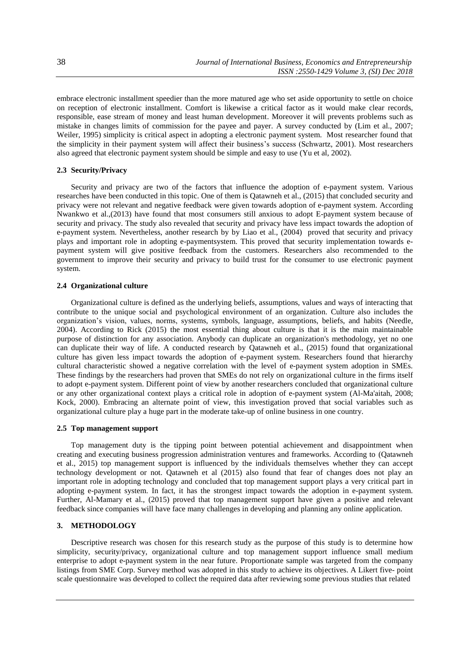embrace electronic installment speedier than the more matured age who set aside opportunity to settle on choice on reception of electronic installment. Comfort is likewise a critical factor as it would make clear records, responsible, ease stream of money and least human development. Moreover it will prevents problems such as mistake in changes limits of commission for the payee and payer. A survey conducted by (Lim et al., 2007; Weiler, 1995) simplicity is critical aspect in adopting a electronic payment system. Most researcher found that the simplicity in their payment system will affect their business's success (Schwartz, 2001). Most researchers also agreed that electronic payment system should be simple and easy to use (Yu et al, 2002).

# **2.3 Security/Privacy**

Security and privacy are two of the factors that influence the adoption of e-payment system. Various researches have been conducted in this topic. One of them is Qatawneh et al., (2015) that concluded security and privacy were not relevant and negative feedback were given towards adoption of e-payment system. According Nwankwo et al.,(2013) have found that most consumers still anxious to adopt E-payment system because of security and privacy. The study also revealed that security and privacy have less impact towards the adoption of e-payment system. Nevertheless, another research by by Liao et al., (2004) proved that security and privacy plays and important role in adopting e-paymentsystem. This proved that security implementation towards epayment system will give positive feedback from the customers. Researchers also recommended to the government to improve their security and privacy to build trust for the consumer to use electronic payment system.

# **2.4 Organizational culture**

Organizational culture is defined as the underlying beliefs, assumptions, values and ways of interacting that contribute to the unique social and psychological environment of an organization. Culture also includes the organization's vision, values, norms, systems, symbols, language, assumptions, beliefs, and habits (Needle, 2004). According to Rick (2015) the most essential thing about culture is that it is the main maintainable purpose of distinction for any association. Anybody can duplicate an organization's methodology, yet no one can duplicate their way of life. A conducted research by Qatawneh et al., (2015) found that organizational culture has given less impact towards the adoption of e-payment system. Researchers found that hierarchy cultural characteristic showed a negative correlation with the level of e-payment system adoption in SMEs. These findings by the researchers had proven that SMEs do not rely on organizational culture in the firms itself to adopt e-payment system. Different point of view by another researchers concluded that organizational culture or any other organizational context plays a critical role in adoption of e-payment system (Al-Ma'aitah, 2008; Kock, 2000). Embracing an alternate point of view, this investigation proved that social variables such as organizational culture play a huge part in the moderate take-up of online business in one country.

# **2.5 Top management support**

Top management duty is the tipping point between potential achievement and disappointment when creating and executing business progression administration ventures and frameworks. According to (Qatawneh et al., 2015) top management support is influenced by the individuals themselves whether they can accept technology development or not. Qatawneh et al (2015) also found that fear of changes does not play an important role in adopting technology and concluded that top management support plays a very critical part in adopting e-payment system. In fact, it has the strongest impact towards the adoption in e-payment system. Further, Al-Mamary et al., (2015) proved that top management support have given a positive and relevant feedback since companies will have face many challenges in developing and planning any online application.

# **3. METHODOLOGY**

Descriptive research was chosen for this research study as the purpose of this study is to determine how simplicity, security/privacy, organizational culture and top management support influence small medium enterprise to adopt e-payment system in the near future. Proportionate sample was targeted from the company listings from SME Corp. Survey method was adopted in this study to achieve its objectives. A Likert five- point scale questionnaire was developed to collect the required data after reviewing some previous studies that related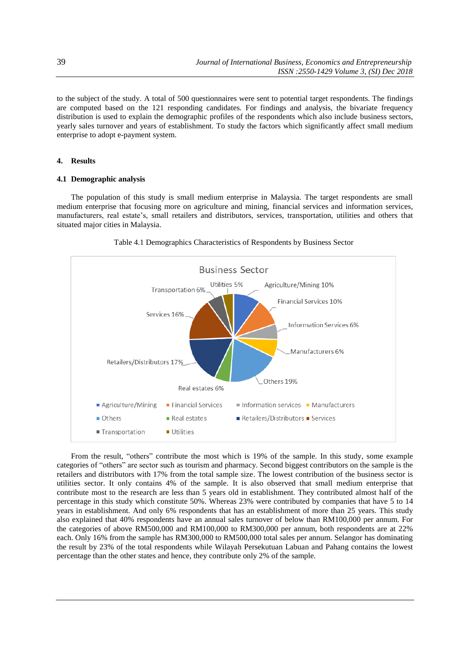to the subject of the study. A total of 500 questionnaires were sent to potential target respondents. The findings are computed based on the 121 responding candidates. For findings and analysis, the bivariate frequency distribution is used to explain the demographic profiles of the respondents which also include business sectors, yearly sales turnover and years of establishment. To study the factors which significantly affect small medium enterprise to adopt e-payment system.

# **4. Results**

# **4.1 Demographic analysis**

The population of this study is small medium enterprise in Malaysia. The target respondents are small medium enterprise that focusing more on agriculture and mining, financial services and information services, manufacturers, real estate's, small retailers and distributors, services, transportation, utilities and others that situated major cities in Malaysia.



Table 4.1 Demographics Characteristics of Respondents by Business Sector

From the result, "others" contribute the most which is 19% of the sample. In this study, some example categories of "others" are sector such as tourism and pharmacy. Second biggest contributors on the sample is the retailers and distributors with 17% from the total sample size. The lowest contribution of the business sector is utilities sector. It only contains 4% of the sample. It is also observed that small medium enterprise that contribute most to the research are less than 5 years old in establishment. They contributed almost half of the percentage in this study which constitute 50%. Whereas 23% were contributed by companies that have 5 to 14 years in establishment. And only 6% respondents that has an establishment of more than 25 years. This study also explained that 40% respondents have an annual sales turnover of below than RM100,000 per annum. For the categories of above RM500,000 and RM100,000 to RM300,000 per annum, both respondents are at 22% each. Only 16% from the sample has RM300,000 to RM500,000 total sales per annum. Selangor has dominating the result by 23% of the total respondents while Wilayah Persekutuan Labuan and Pahang contains the lowest percentage than the other states and hence, they contribute only 2% of the sample.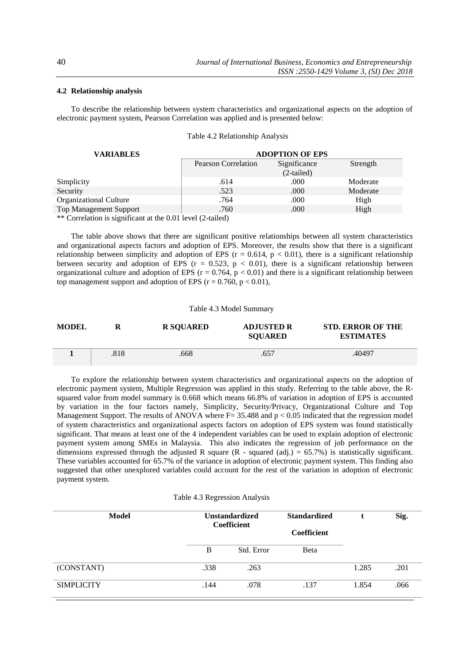# **4.2 Relationship analysis**

To describe the relationship between system characteristics and organizational aspects on the adoption of electronic payment system, Pearson Correlation was applied and is presented below:

|  | Table 4.2 Relationship Analysis |  |
|--|---------------------------------|--|
|--|---------------------------------|--|

| <b>VARIABLES</b>                                                                       | <b>ADOPTION OF EPS</b> |              |          |  |
|----------------------------------------------------------------------------------------|------------------------|--------------|----------|--|
|                                                                                        | Pearson Correlation    | Significance | Strength |  |
|                                                                                        |                        | $(2-tailed)$ |          |  |
| Simplicity                                                                             | .614                   | .000         | Moderate |  |
| Security                                                                               | .523                   | .000         | Moderate |  |
| Organizational Culture                                                                 | .764                   | .000         | High     |  |
| <b>Top Management Support</b>                                                          | .760                   | .000         | High     |  |
| $\star \star \sigma$ , 1, 1, 1, 1, 1, 1, 1, 1, 1, 1, 1, 1, 0, 01, 1, 1, 1, 1, 1, 1, 1) |                        |              |          |  |

Correlation is significant at the 0.01 level (2-tailed)

The table above shows that there are significant positive relationships between all system characteristics and organizational aspects factors and adoption of EPS. Moreover, the results show that there is a significant relationship between simplicity and adoption of EPS ( $r = 0.614$ ,  $p < 0.01$ ), there is a significant relationship between security and adoption of EPS ( $r = 0.523$ ,  $p < 0.01$ ), there is a significant relationship between organizational culture and adoption of EPS ( $r = 0.764$ ,  $p < 0.01$ ) and there is a significant relationship between top management support and adoption of EPS ( $r = 0.760$ ,  $p < 0.01$ ),

## Table 4.3 Model Summary

| <b>MODEL</b> |      | <b>R SOUARED</b> | <b>ADJUSTED R</b><br><b>SQUARED</b> | <b>STD. ERROR OF THE</b><br><b>ESTIMATES</b> |
|--------------|------|------------------|-------------------------------------|----------------------------------------------|
|              | .818 | 668              | .657                                | .40497                                       |

To explore the relationship between system characteristics and organizational aspects on the adoption of electronic payment system, Multiple Regression was applied in this study. Referring to the table above, the Rsquared value from model summary is 0.668 which means 66.8% of variation in adoption of EPS is accounted by variation in the four factors namely, Simplicity, Security/Privacy, Organizational Culture and Top Management Support. The results of ANOVA where  $F= 35.488$  and  $p < 0.05$  indicated that the regression model of system characteristics and organizational aspects factors on adoption of EPS system was found statistically significant. That means at least one of the 4 independent variables can be used to explain adoption of electronic payment system among SMEs in Malaysia. This also indicates the regression of job performance on the dimensions expressed through the adjusted R square  $(R - squared (adj.) = 65.7%)$  is statistically significant. These variables accounted for 65.7% of the variance in adoption of electronic payment system. This finding also suggested that other unexplored variables could account for the rest of the variation in adoption of electronic payment system.

#### Table 4.3 Regression Analysis

| Model             | <b>Unstandardized</b><br><b>Coefficient</b> |            | <b>Standardized</b><br>Coefficient |       | Sig. |
|-------------------|---------------------------------------------|------------|------------------------------------|-------|------|
|                   | B                                           | Std. Error | <b>B</b> eta                       |       |      |
| (CONSTANT)        | .338                                        | .263       |                                    | 1.285 | .201 |
| <b>SIMPLICITY</b> | .144                                        | .078       | .137                               | 1.854 | .066 |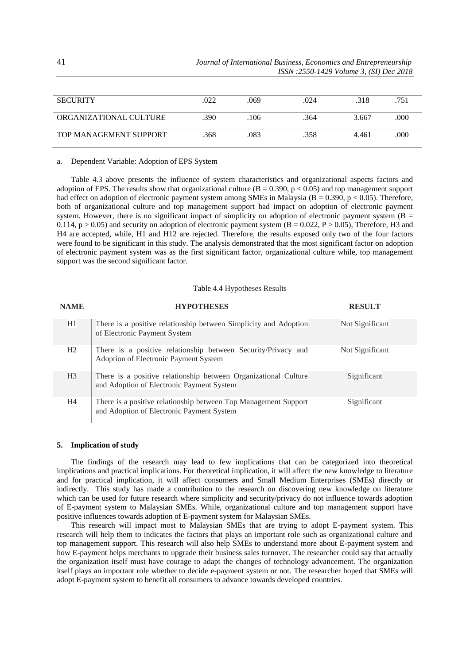| <b>SECURITY</b>        | .022 | .069 | .024 | .318  | .751 |
|------------------------|------|------|------|-------|------|
|                        |      |      |      |       |      |
| ORGANIZATIONAL CULTURE | .390 | .106 | .364 | 3.667 | .000 |
|                        |      |      |      |       |      |
| TOP MANAGEMENT SUPPORT | .368 | .083 | .358 | 4.461 | .000 |
|                        |      |      |      |       |      |

#### a. Dependent Variable: Adoption of EPS System

Table 4.3 above presents the influence of system characteristics and organizational aspects factors and adoption of EPS. The results show that organizational culture  $(B = 0.390, p < 0.05)$  and top management support had effect on adoption of electronic payment system among SMEs in Malaysia (B = 0.390, p < 0.05). Therefore, both of organizational culture and top management support had impact on adoption of electronic payment system. However, there is no significant impact of simplicity on adoption of electronic payment system ( $B =$ 0.114,  $p > 0.05$ ) and security on adoption of electronic payment system ( $B = 0.022$ ,  $P > 0.05$ ), Therefore, H3 and H4 are accepted, while, H1 and H12 are rejected. Therefore, the results exposed only two of the four factors were found to be significant in this study. The analysis demonstrated that the most significant factor on adoption of electronic payment system was as the first significant factor, organizational culture while, top management support was the second significant factor.

## Table 4.4 Hypotheses Results

| <b>NAME</b>    | <b>HYPOTHESES</b>                                                                                            | <b>RESULT</b>   |
|----------------|--------------------------------------------------------------------------------------------------------------|-----------------|
| H1             | There is a positive relationship between Simplicity and Adoption<br>of Electronic Payment System             | Not Significant |
| H2             | There is a positive relationship between Security/Privacy and<br>Adoption of Electronic Payment System       | Not Significant |
| H <sub>3</sub> | There is a positive relationship between Organizational Culture<br>and Adoption of Electronic Payment System | Significant     |
| H <sub>4</sub> | There is a positive relationship between Top Management Support<br>and Adoption of Electronic Payment System | Significant     |

# **5. Implication of study**

The findings of the research may lead to few implications that can be categorized into theoretical implications and practical implications. For theoretical implication, it will affect the new knowledge to literature and for practical implication, it will affect consumers and Small Medium Enterprises (SMEs) directly or indirectly. This study has made a contribution to the research on discovering new knowledge on literature which can be used for future research where simplicity and security/privacy do not influence towards adoption of E-payment system to Malaysian SMEs. While, organizational culture and top management support have positive influences towards adoption of E-payment system for Malaysian SMEs.

This research will impact most to Malaysian SMEs that are trying to adopt E-payment system. This research will help them to indicates the factors that plays an important role such as organizational culture and top management support. This research will also help SMEs to understand more about E-payment system and how E-payment helps merchants to upgrade their business sales turnover. The researcher could say that actually the organization itself must have courage to adapt the changes of technology advancement. The organization itself plays an important role whether to decide e-payment system or not. The researcher hoped that SMEs will adopt E-payment system to benefit all consumers to advance towards developed countries.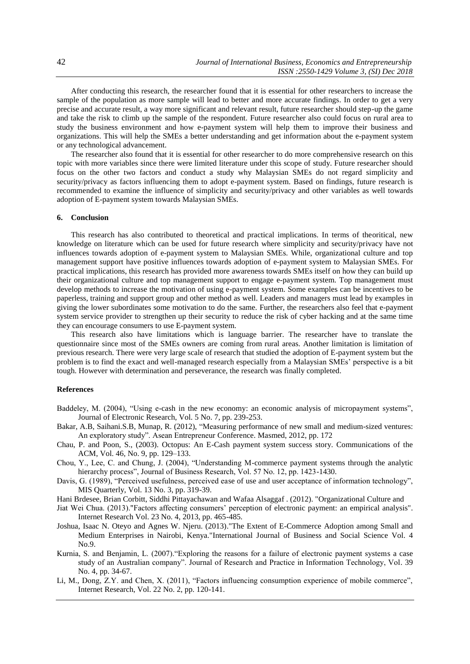After conducting this research, the researcher found that it is essential for other researchers to increase the sample of the population as more sample will lead to better and more accurate findings. In order to get a very precise and accurate result, a way more significant and relevant result, future researcher should step-up the game and take the risk to climb up the sample of the respondent. Future researcher also could focus on rural area to study the business environment and how e-payment system will help them to improve their business and organizations. This will help the SMEs a better understanding and get information about the e-payment system or any technological advancement.

The researcher also found that it is essential for other researcher to do more comprehensive research on this topic with more variables since there were limited literature under this scope of study. Future researcher should focus on the other two factors and conduct a study why Malaysian SMEs do not regard simplicity and security/privacy as factors influencing them to adopt e-payment system. Based on findings, future research is recommended to examine the influence of simplicity and security/privacy and other variables as well towards adoption of E-payment system towards Malaysian SMEs.

#### **6. Conclusion**

This research has also contributed to theoretical and practical implications. In terms of theoritical, new knowledge on literature which can be used for future research where simplicity and security/privacy have not influences towards adoption of e-payment system to Malaysian SMEs. While, organizational culture and top management support have positive influences towards adoption of e-payment system to Malaysian SMEs. For practical implications, this research has provided more awareness towards SMEs itself on how they can build up their organizational culture and top management support to engage e-payment system. Top management must develop methods to increase the motivation of using e-payment system. Some examples can be incentives to be paperless, training and support group and other method as well. Leaders and managers must lead by examples in giving the lower subordinates some motivation to do the same. Further, the researchers also feel that e-payment system service provider to strengthen up their security to reduce the risk of cyber hacking and at the same time they can encourage consumers to use E-payment system.

This research also have limitations which is language barrier. The researcher have to translate the questionnaire since most of the SMEs owners are coming from rural areas. Another limitation is limitation of previous research. There were very large scale of research that studied the adoption of E-payment system but the problem is to find the exact and well-managed research especially from a Malaysian SMEs' perspective is a bit tough. However with determination and perseverance, the research was finally completed.

#### **References**

- Baddeley, M. (2004), "Using e-cash in the new economy: an economic analysis of micropayment systems", Journal of Electronic Research, Vol. 5 No. 7, pp. 239-253.
- Bakar, A.B, Saihani.S.B, Munap, R. (2012), "Measuring performance of new small and medium-sized ventures: An exploratory study". Asean Entrepreneur Conference. Masmed, 2012, pp. 172
- Chau, P. and Poon, S., (2003). Octopus: An E-Cash payment system success story. Communications of the ACM, Vol. 46, No. 9, pp. 129–133.
- Chou, Y., Lee, C. and Chung, J. (2004), "Understanding M-commerce payment systems through the analytic hierarchy process", Journal of Business Research, Vol. 57 No. 12, pp. 1423-1430.
- Davis, G. (1989), "Perceived usefulness, perceived ease of use and user acceptance of information technology", MIS Quarterly, Vol. 13 No. 3, pp. 319-39.
- Hani Brdesee, Brian Corbitt, Siddhi Pittayachawan and Wafaa Alsaggaf . (2012). "Organizational Culture and
- Jiat Wei Chua. (2013)."Factors affecting consumers' perception of electronic payment: an empirical analysis". Internet Research Vol. 23 No. 4, 2013, pp. 465-485.
- Joshua, Isaac N. Oteyo and Agnes W. Njeru. (2013)."The Extent of E-Commerce Adoption among Small and Medium Enterprises in Nairobi, Kenya."International Journal of Business and Social Science Vol. 4 No.9.
- Kurnia, S. and Benjamin, L. (2007)."Exploring the reasons for a failure of electronic payment systems a case study of an Australian company". Journal of Research and Practice in Information Technology, Vol. 39 No. 4, pp. 34-67.
- Li, M., Dong, Z.Y. and Chen, X. (2011), "Factors influencing consumption experience of mobile commerce", Internet Research, Vol. 22 No. 2, pp. 120-141.